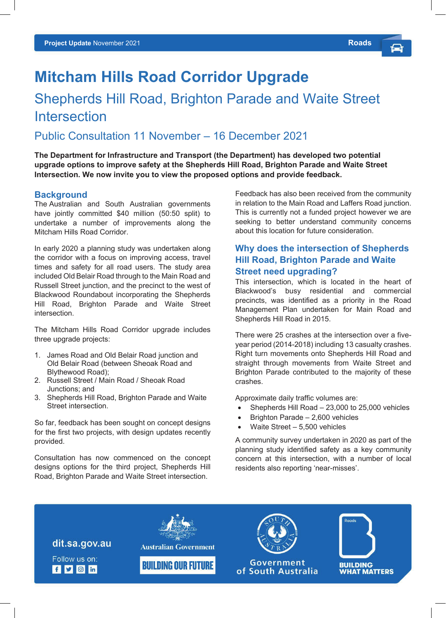# **Mitcham Hills Road Corridor Upgrade**

# Shepherds Hill Road, Brighton Parade and Waite Street **Intersection**

# Public Consultation 11 November – 16 December 2021

**The Department for Infrastructure and Transport (the Department) has developed two potential upgrade options to improve safety at the Shepherds Hill Road, Brighton Parade and Waite Street Intersection. We now invite you to view the proposed options and provide feedback.**

#### **Background**

The Australian and South Australian governments have jointly committed \$40 million (50:50 split) to undertake a number of improvements along the Mitcham Hills Road Corridor.

In early 2020 a planning study was undertaken along the corridor with a focus on improving access, travel times and safety for all road users. The study area included Old Belair Road through to the Main Road and Russell Street junction, and the precinct to the west of Blackwood Roundabout incorporating the Shepherds Hill Road, Brighton Parade and Waite Street intersection.

The Mitcham Hills Road Corridor upgrade includes three upgrade projects:

- 1. James Road and Old Belair Road junction and Old Belair Road (between Sheoak Road and Blythewood Road);
- 2. Russell Street / Main Road / Sheoak Road Junctions; and
- 3. Shepherds Hill Road, Brighton Parade and Waite Street intersection.

So far, feedback has been sought on concept designs for the first two projects, with design updates recently provided.

Consultation has now commenced on the concept designs options for the third project, Shepherds Hill Road, Brighton Parade and Waite Street intersection.

Feedback has also been received from the community in relation to the Main Road and Laffers Road junction. This is currently not a funded project however we are seeking to better understand community concerns about this location for future consideration.

# **Why does the intersection of Shepherds Hill Road, Brighton Parade and Waite Street need upgrading?**

This intersection, which is located in the heart of Blackwood's busy residential and commercial precincts, was identified as a priority in the Road Management Plan undertaken for Main Road and Shepherds Hill Road in 2015.

There were 25 crashes at the intersection over a fiveyear period (2014-2018) including 13 casualty crashes. Right turn movements onto Shepherds Hill Road and straight through movements from Waite Street and Brighton Parade contributed to the majority of these crashes.

Approximate daily traffic volumes are:

- Shepherds Hill Road 23,000 to 25,000 vehicles
- Brighton Parade 2,600 vehicles
- Waite Street  $-5,500$  vehicles

A community survey undertaken in 2020 as part of the planning study identified safety as a key community concern at this intersection, with a number of local residents also reporting 'near-misses'.

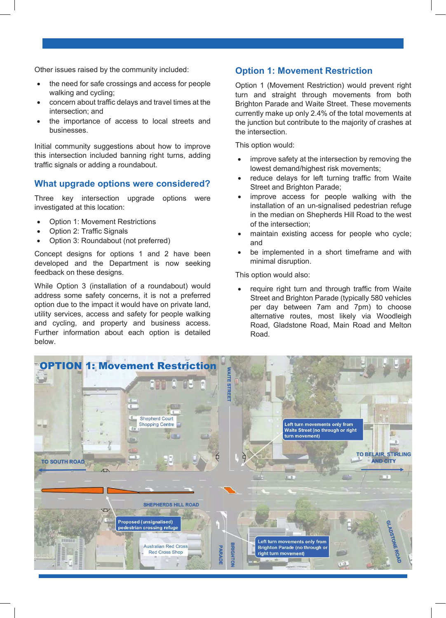Other issues raised by the community included:

- the need for safe crossings and access for people walking and cycling;
- concern about traffic delays and travel times at the intersection; and
- the importance of access to local streets and businesses.

Initial community suggestions about how to improve this intersection included banning right turns, adding traffic signals or adding a roundabout.

#### **What upgrade options were considered?**

Three key intersection upgrade options were investigated at this location:

- Option 1: Movement Restrictions
- Option 2: Traffic Signals
- Option 3: Roundabout (not preferred)

Concept designs for options 1 and 2 have been developed and the Department is now seeking feedback on these designs.

While Option 3 (installation of a roundabout) would address some safety concerns, it is not a preferred option due to the impact it would have on private land, utility services, access and safety for people walking and cycling, and property and business access. Further information about each option is detailed below.

#### **Option 1: Movement Restriction**

Option 1 (Movement Restriction) would prevent right turn and straight through movements from both Brighton Parade and Waite Street. These movements currently make up only 2.4% of the total movements at the junction but contribute to the majority of crashes at the intersection.

This option would:

- improve safety at the intersection by removing the lowest demand/highest risk movements;
- reduce delays for left turning traffic from Waite Street and Brighton Parade;
- improve access for people walking with the installation of an un-signalised pedestrian refuge in the median on Shepherds Hill Road to the west of the intersection;
- maintain existing access for people who cycle; and
- be implemented in a short timeframe and with minimal disruption.

This option would also:

require right turn and through traffic from Waite Street and Brighton Parade (typically 580 vehicles per day between 7am and 7pm) to choose alternative routes, most likely via Woodleigh Road, Gladstone Road, Main Road and Melton Road.

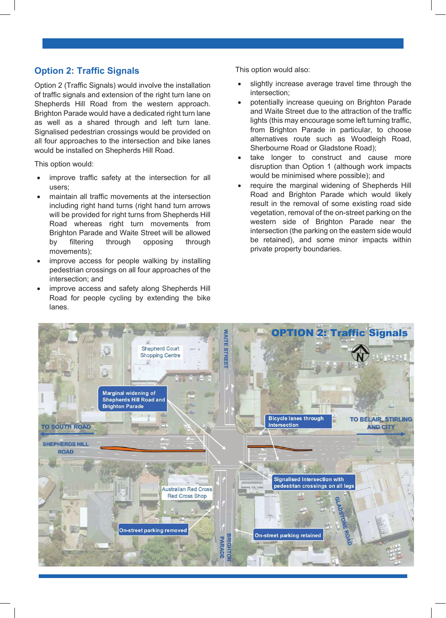# **Option 2: Traffic Signals**

Option 2 (Traffic Signals) would involve the installation of traffic signals and extension of the right turn lane on Shepherds Hill Road from the western approach. Brighton Parade would have a dedicated right turn lane as well as a shared through and left turn lane. Signalised pedestrian crossings would be provided on all four approaches to the intersection and bike lanes would be installed on Shepherds Hill Road.

This option would:

- improve traffic safety at the intersection for all users;
- maintain all traffic movements at the intersection including right hand turns (right hand turn arrows will be provided for right turns from Shepherds Hill Road whereas right turn movements from Brighton Parade and Waite Street will be allowed by filtering through opposing through movements);
- improve access for people walking by installing pedestrian crossings on all four approaches of the intersection; and
- improve access and safety along Shepherds Hill Road for people cycling by extending the bike lanes.

This option would also:

- slightly increase average travel time through the intersection;
- potentially increase queuing on Brighton Parade and Waite Street due to the attraction of the traffic lights (this may encourage some left turning traffic, from Brighton Parade in particular, to choose alternatives route such as Woodleigh Road, Sherbourne Road or Gladstone Road);
- take longer to construct and cause more disruption than Option 1 (although work impacts would be minimised where possible); and
- require the marginal widening of Shepherds Hill Road and Brighton Parade which would likely result in the removal of some existing road side vegetation, removal of the on-street parking on the western side of Brighton Parade near the intersection (the parking on the eastern side would be retained), and some minor impacts within private property boundaries.